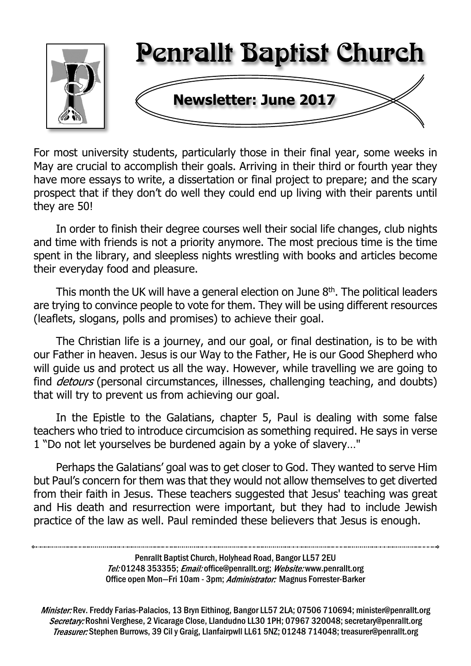

For most university students, particularly those in their final year, some weeks in May are crucial to accomplish their goals. Arriving in their third or fourth year they have more essays to write, a dissertation or final project to prepare; and the scary prospect that if they don't do well they could end up living with their parents until they are 50!

In order to finish their degree courses well their social life changes, club nights and time with friends is not a priority anymore. The most precious time is the time spent in the library, and sleepless nights wrestling with books and articles become their everyday food and pleasure.

This month the UK will have a general election on June 8th. The political leaders are trying to convince people to vote for them. They will be using different resources (leaflets, slogans, polls and promises) to achieve their goal.

The Christian life is a journey, and our goal, or final destination, is to be with our Father in heaven. Jesus is our Way to the Father, He is our Good Shepherd who will guide us and protect us all the way. However, while travelling we are going to find *detours* (personal circumstances, illnesses, challenging teaching, and doubts) that will try to prevent us from achieving our goal.

In the Epistle to the Galatians, chapter 5, Paul is dealing with some false teachers who tried to introduce circumcision as something required. He says in verse 1 "Do not let yourselves be burdened again by a yoke of slavery…"

Perhaps the Galatians' goal was to get closer to God. They wanted to serve Him but Paul's concern for them was that they would not allow themselves to get diverted from their faith in Jesus. These teachers suggested that Jesus' teaching was great and His death and resurrection were important, but they had to include Jewish practice of the law as well. Paul reminded these believers that Jesus is enough.

> Penrallt Baptist Church, Holyhead Road, Bangor LL57 2EU Tel:01248 353355; Email: office@penrallt.org; Website: www.penrallt.org Office open Mon-Fri 10am - 3pm; Administrator: Magnus Forrester-Barker

Minister: Rev. Freddy Farias-Palacios, 13 Bryn Eithinog, Bangor LL57 2LA; 07506 710694; minister@penrallt.org Secretary: Roshni Verghese, 2 Vicarage Close, Llandudno LL30 1PH; 07967 320048; secretary@penrallt.org Treasurer: Stephen Burrows, 39 Cil y Graig, Llanfairpwll LL61 5NZ; 01248 714048; treasurer@penrallt.org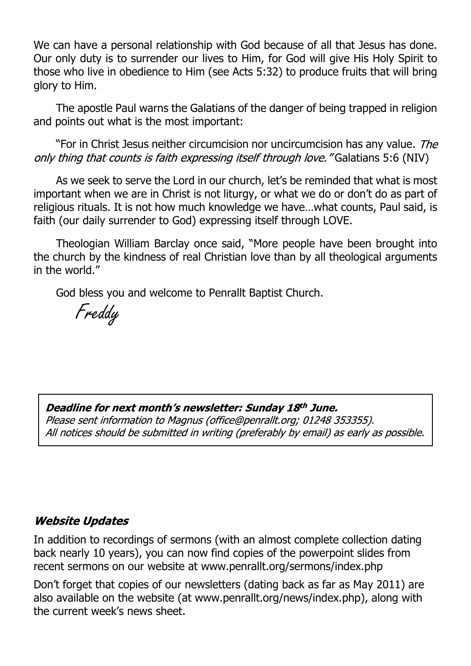We can have a personal relationship with God because of all that Jesus has done. Our only duty is to surrender our lives to Him, for God will give His Holy Spirit to those who live in obedience to Him (see Acts 5:32) to produce fruits that will bring glory to Him.

The apostle Paul warns the Galatians of the danger of being trapped in religion and points out what is the most important:

"For in Christ Jesus neither circumcision nor uncircumcision has any value. The only thing that counts is faith expressing itself through love. "Galatians 5:6 (NIV)

As we seek to serve the Lord in our church, let's be reminded that what is most important when we are in Christ is not liturgy, or what we do or don't do as part of religious rituals. It is not how much knowledge we have…what counts, Paul said, is faith (our daily surrender to God) expressing itself through LOVE.

Theologian William Barclay once said, "More people have been brought into the church by the kindness of real Christian love than by all theological arguments in the world."

God bless you and welcome to Penrallt Baptist Church.

Freddy

#### Deadline for next month's newsletter: Sunday 18th June.

Please sent information to Magnus (office@penrallt.org: 01248 353355). All notices should be submitted in writing (preferably by email) as early as possible.

#### **Website Updates**

In addition to recordings of sermons (with an almost complete collection dating back nearly 10 years), you can now find copies of the powerpoint slides from recent sermons on our website at www.penrallt.org/sermons/index.php

Don't forget that copies of our newsletters (dating back as far as May 2011) are also available on the website (at www.penrallt.org/news/index.php), along with the current week's news sheet.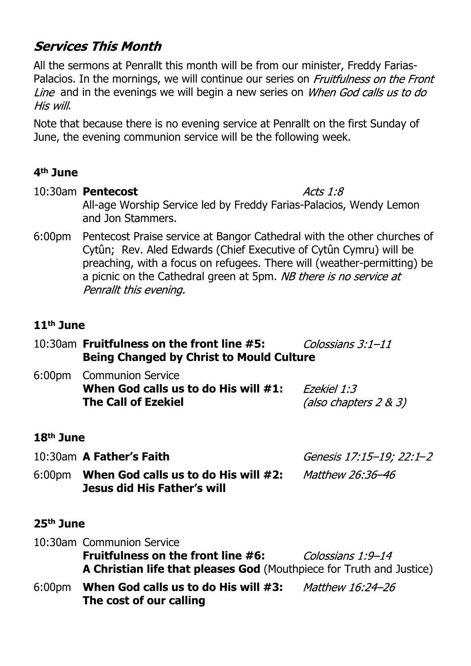# **Services This Month**

All the sermons at Penrallt this month will be from our minister, Freddy Farias-Palacios. In the mornings, we will continue our series on *Fruitfulness on the Front* Line and in the evenings we will begin a new series on *When God calls us to do* His will.

Note that because there is no evening service at Penrallt on the first Sunday of June, the evening communion service will be the following week.

#### **4th June**

- 10:30am **Pentecost** Acts  $1:8$ All-age Worship Service led by Freddy Farias-Palacios, Wendy Lemon and Jon Stammers.
- 6:00pm Pentecost Praise service at Bangor Cathedral with the other churches of Cytûn; Rev. Aled Edwards (Chief Executive of Cytûn Cymru) will be preaching, with a focus on refugees. There will (weather-permitting) be a picnic on the Cathedral green at 5pm. NB there is no service at Penrallt this evening.

#### **11th June**

- 10:30am **Fruitfulness on the front line #5:** Colossians  $3:1-11$ **Being Changed by Christ to Mould Culture**
- 6:00pm Communion Service **When God calls us to do His will #1:** Fzekiel 1:3 **The Call of Ezekiel** (also chapters  $2 & 3$ )

#### **18th June**

10:30am **A Father's Faith** –

Matthew 26:36-46

6:00pm **When God calls us to do His will #2: Jesus did His Father's will**

#### **25th June**

10:30am Communion Service **Fruitfulness on the front line #6:** Colossians 1:9-14 **A Christian life that pleases God** (Mouthpiece for Truth and Justice) 6:00pm **When God calls us to do His will #3:** Matthew 16:24-26 **The cost of our calling**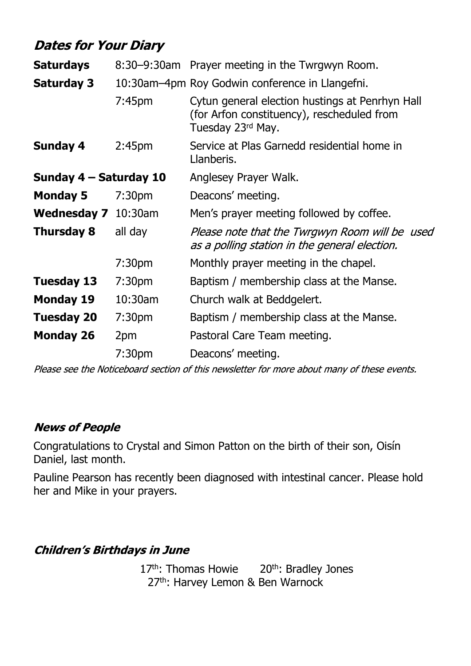# **Dates for Your Diary**

| <b>Saturdays</b>             |                    | 8:30–9:30am Prayer meeting in the Twrgwyn Room.                                                                    |  |
|------------------------------|--------------------|--------------------------------------------------------------------------------------------------------------------|--|
| <b>Saturday 3</b>            |                    | 10:30am-4pm Roy Godwin conference in Llangefni.                                                                    |  |
|                              | 7:45 <sub>pm</sub> | Cytun general election hustings at Penrhyn Hall<br>(for Arfon constituency), rescheduled from<br>Tuesday 23rd May. |  |
| <b>Sunday 4</b>              | 2:45 <sub>pm</sub> | Service at Plas Garnedd residential home in<br>Llanberis.                                                          |  |
| Sunday 4 – Saturday 10       |                    | Anglesey Prayer Walk.                                                                                              |  |
| <b>Monday 5</b>              | 7:30 <sub>pm</sub> | Deacons' meeting.                                                                                                  |  |
| <b>Wednesday 7</b> 10:30am   |                    | Men's prayer meeting followed by coffee.                                                                           |  |
| <b>Thursday 8</b><br>all day |                    | Please note that the Twrgwyn Room will be used<br>as a polling station in the general election.                    |  |
|                              | 7:30 <sub>pm</sub> | Monthly prayer meeting in the chapel.                                                                              |  |
| <b>Tuesday 13</b>            | 7:30 <sub>pm</sub> | Baptism / membership class at the Manse.                                                                           |  |
| <b>Monday 19</b>             | 10:30am            | Church walk at Beddgelert.                                                                                         |  |
| <b>Tuesday 20</b>            | 7:30 <sub>pm</sub> | Baptism / membership class at the Manse.                                                                           |  |
| <b>Monday 26</b>             | 2pm                | Pastoral Care Team meeting.                                                                                        |  |
|                              | 7:30pm             | Deacons' meeting.                                                                                                  |  |

Please see the Noticeboard section of this newsletter for more about many of these events.

#### **News of People**

Congratulations to Crystal and Simon Patton on the birth of their son, Oisín Daniel, last month.

Pauline Pearson has recently been diagnosed with intestinal cancer. Please hold her and Mike in your prayers.

**Children's Birthdays in June** 

17<sup>th</sup>: Thomas Howie 20<sup>th</sup>: Bradley Jones 27<sup>th</sup>: Harvey Lemon & Ben Warnock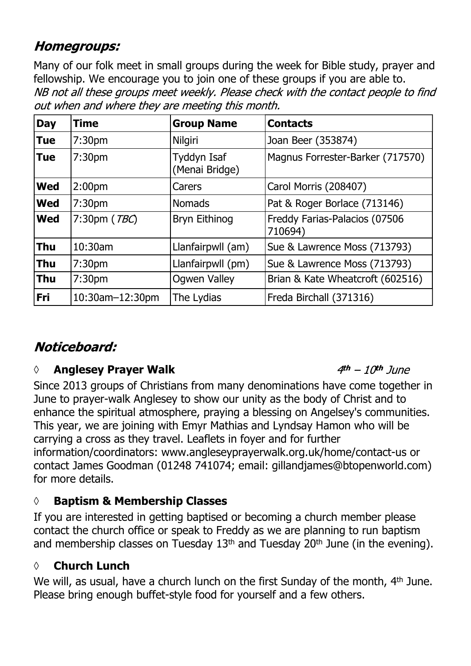# **Homegroups:**

Many of our folk meet in small groups during the week for Bible study, prayer and fellowship. We encourage you to join one of these groups if you are able to.NB not all these groups meet weekly. Please check with the contact people to find out when and where they are meeting this month.

| <b>Day</b> | <b>Time</b>        | <b>Group Name</b>             | <b>Contacts</b>                          |
|------------|--------------------|-------------------------------|------------------------------------------|
| <b>Tue</b> | 7:30 <sub>pm</sub> | Nilgiri                       | Joan Beer (353874)                       |
| <b>Tue</b> | 7:30 <sub>pm</sub> | Tyddyn Isaf<br>(Menai Bridge) | Magnus Forrester-Barker (717570)         |
| <b>Wed</b> | 2:00 <sub>pm</sub> | Carers                        | Carol Morris (208407)                    |
| <b>Wed</b> | 7:30 <sub>pm</sub> | <b>Nomads</b>                 | Pat & Roger Borlace (713146)             |
| <b>Wed</b> | 7:30pm (TBC)       | Bryn Eithinog                 | Freddy Farias-Palacios (07506<br>710694) |
| <b>Thu</b> | $10:30$ am         | Llanfairpwll (am)             | Sue & Lawrence Moss (713793)             |
| <b>Thu</b> | 7:30 <sub>pm</sub> | Llanfairpwll (pm)             | Sue & Lawrence Moss (713793)             |
| <b>Thu</b> | 7:30 <sub>pm</sub> | <b>Ogwen Valley</b>           | Brian & Kate Wheatcroft (602516)         |
| <b>Fri</b> | 10:30am-12:30pm    | The Lydias                    | Freda Birchall (371316)                  |

# Noticeboard:

# *◊* **Anglesey Prayer Walk**

Since 2013 groups of Christians from many denominations have come together in June to prayer-walk Anglesey to show our unity as the body of Christ and to enhance the spiritual atmosphere, praying a blessing on Angelsey's communities. This year, we are joining with Emyr Mathias and Lyndsay Hamon who will be carrying a cross as they travel. Leaflets in foyer and for further information/coordinators: www.angleseyprayerwalk.org.uk/home/contact-us or contact James Goodman (01248 741074; email: gillandjames@btopenworld.com) for more details.

# **◊ Baptism & Membership Classes**

If you are interested in getting baptised or becoming a church member please contact the church office or speak to Freddy as we are planning to run baptism and membership classes on Tuesday  $13<sup>th</sup>$  and Tuesday  $20<sup>th</sup>$  June (in the evening).

### **◊ Church Lunch**

We will, as usual, have a church lunch on the first Sunday of the month, 4<sup>th</sup> June. Please bring enough buffet-style food for yourself and a few others.

#### $4th - 10th$  lune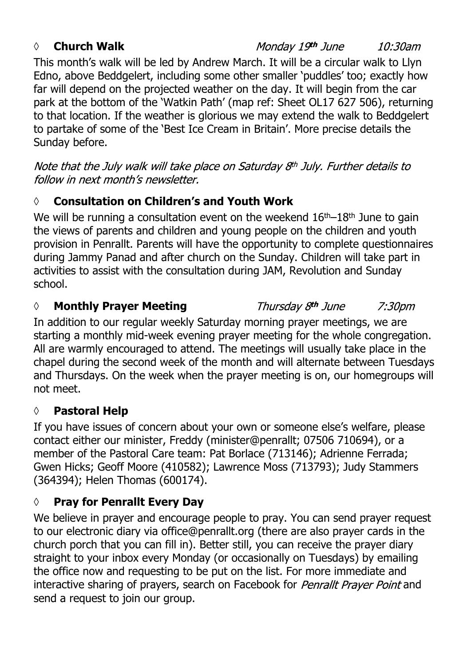#### *◊* **Church Walk**

This month's walk will be led by Andrew March. It will be a circular walk to Llyn Edno, above Beddgelert, including some other smaller 'puddles' too; exactly how far will depend on the projected weather on the day. It will begin from the car park at the bottom of the 'Watkin Path' (map ref: Sheet OL17 627 506), returning to that location. If the weather is glorious we may extend the walk to Beddgelert to partake of some of the 'Best Ice Cream in Britain'. More precise details the Sunday before.

Note that the July walk will take place on Saturday 8th July. Further details to follow in next month's newsletter.

# **◊ Consultation on Children's and Youth Work**

We will be running a consultation event on the weekend  $16<sup>th</sup>-18<sup>th</sup>$  June to gain the views of parents and children and young people on the children and youth provision in Penrallt. Parents will have the opportunity to complete questionnaires during Jammy Panad and after church on the Sunday. Children will take part in activities to assist with the consultation during JAM, Revolution and Sunday school.

#### *◊* **Monthly Prayer Meeting**

In addition to our regular weekly Saturday morning prayer meetings, we are starting a monthly mid-week evening prayer meeting for the whole congregation. All are warmly encouraged to attend. The meetings will usually take place in the chapel during the second week of the month and will alternate between Tuesdays and Thursdays. On the week when the prayer meeting is on, our homegroups will not meet.

#### **◊ Pastoral Help**

If you have issues of concern about your own or someone else's welfare, please contact either our minister, Freddy (minister@penrallt; 07506 710694), or a member of the Pastoral Care team: Pat Borlace (713146); Adrienne Ferrada; Gwen Hicks; Geoff Moore (410582); Lawrence Moss (713793); Judy Stammers (364394); Helen Thomas (600174).

### **◊ Pray for Penrallt Every Day**

We believe in prayer and encourage people to pray. You can send prayer request to our electronic diary via office@penrallt.org (there are also prayer cards in the church porch that you can fill in). Better still, you can receive the prayer diary straight to your inbox every Monday (or occasionally on Tuesdays) by emailing the office now and requesting to be put on the list. For more immediate and interactive sharing of prayers, search on Facebook for Penrallt Prayer Point and send a request to join our group.

#### Monday 19th June 10:30am

Thursday 8th June

7:30pm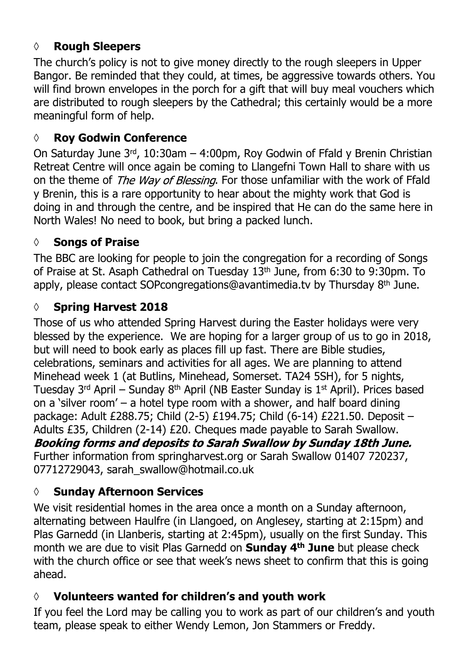### **◊ Rough Sleepers**

The church's policy is not to give money directly to the rough sleepers in Upper Bangor. Be reminded that they could, at times, be aggressive towards others. You will find brown envelopes in the porch for a gift that will buy meal vouchers which are distributed to rough sleepers by the Cathedral; this certainly would be a more meaningful form of help.

#### **◊ Roy Godwin Conference**

On Saturday June 3rd, 10:30am – 4:00pm, Roy Godwin of Ffald y Brenin Christian Retreat Centre will once again be coming to Llangefni Town Hall to share with us on the theme of The Way of Blessing. For those unfamiliar with the work of Ffald y Brenin, this is a rare opportunity to hear about the mighty work that God is doing in and through the centre, and be inspired that He can do the same here in North Wales! No need to book, but bring a packed lunch.

#### **◊ Songs of Praise**

The BBC are looking for people to join the congregation for a recording of Songs of Praise at St. Asaph Cathedral on Tuesday 13th June, from 6:30 to 9:30pm. To apply, please contact SOPcongregations@avantimedia.tv by Thursday 8th June.

#### **◊ Spring Harvest 2018**

Those of us who attended Spring Harvest during the Easter holidays were very blessed by the experience. We are hoping for a larger group of us to go in 2018, but will need to book early as places fill up fast. There are Bible studies, celebrations, seminars and activities for all ages. We are planning to attend Minehead week 1 (at Butlins, Minehead, Somerset. TA24 5SH), for 5 nights, Tuesday  $3^{rd}$  April – Sunday  $8^{th}$  April (NB Easter Sunday is  $1^{st}$  April). Prices based on a 'silver room' – a hotel type room with a shower, and half board dining package: Adult £288.75; Child (2-5) £194.75; Child (6-14) £221.50. Deposit – Adults £35, Children (2-14) £20. Cheques made payable to Sarah Swallow. Booking forms and deposits to Sarah Swallow by Sunday 18th June. Further information from springharvest.org or Sarah Swallow 01407 720237, 07712729043, sarah\_swallow@hotmail.co.uk

#### **◊ Sunday Afternoon Services**

We visit residential homes in the area once a month on a Sunday afternoon, alternating between Haulfre (in Llangoed, on Anglesey, starting at 2:15pm) and Plas Garnedd (in Llanberis, starting at 2:45pm), usually on the first Sunday. This month we are due to visit Plas Garnedd on **Sunday 4th June** but please check with the church office or see that week's news sheet to confirm that this is going ahead.

#### **◊ Volunteers wanted for children's and youth work**

If you feel the Lord may be calling you to work as part of our children's and youth team, please speak to either Wendy Lemon, Jon Stammers or Freddy.